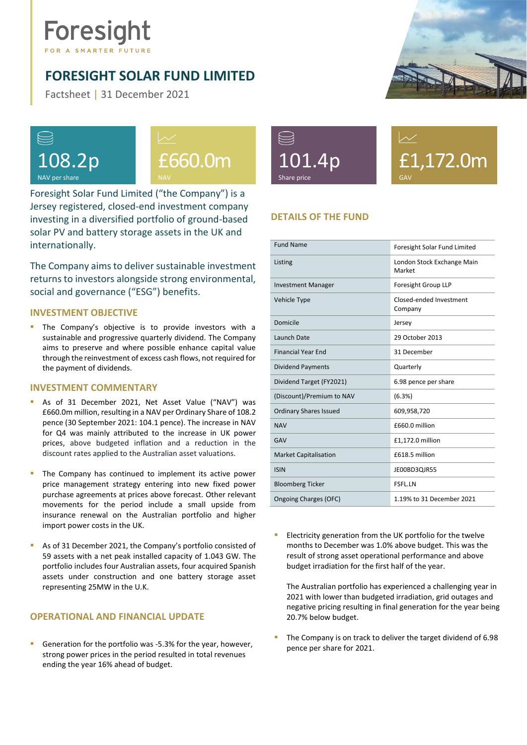# Foresight

## <span id="page-0-0"></span>**FORESIGHT SOLAR FUND LIMITED**

Factsheet | 31 December 2021





Foresight Solar Fund Limited ("the Company") is a Jersey registered, closed-end investment company investing in a diversified portfolio of ground-based solar PV and battery storage assets in the UK and internationally.

The Company aims to deliver sustainable investment returns to investors alongside strong environmental, social and governance ("ESG") benefits.

## **INVESTMENT OBJECTIVE**

The Company's objective is to provide investors with a sustainable and progressive quarterly dividend. The Company aims to preserve and where possible enhance capital value through the reinvestment of excess cash flows, not required for the payment of dividends.

#### **INVESTMENT COMMENTARY**

- **B** As of 31 December 2021, Net Asset Value ("NAV") was £660.0m million, resulting in a NAV per Ordinary Share of 108.2 pence (30 September 2021: 104.1 pence). The increase in NAV for Q4 was mainly attributed to the increase in UK power prices, above budgeted inflation and a reduction in the discount rates applied to the Australian asset valuations.
- The Company has continued to implement its active power price management strategy entering into new fixed power purchase agreements at prices above forecast. Other relevant movements for the period include a small upside from insurance renewal on the Australian portfolio and higher import power costs in the UK.
- As of 31 December 2021, the Company's portfolio consisted of 59 assets with a net peak installed capacity of 1.043 GW. The portfolio includes four Australian assets, four acquired Spanish assets under construction and one battery storage asset representing 25MW in the U.K.

## **OPERATIONAL AND FINANCIAL UPDATE**

Generation for the portfolio was -5.3% for the year, however, strong power prices in the period resulted in total revenues ending the year 16% ahead of budget.



£1,172.0m GAV

## **DETAILS OF THE FUND**

| <b>Fund Name</b>              | Foresight Solar Fund Limited         |  |
|-------------------------------|--------------------------------------|--|
| Listing                       | London Stock Exchange Main<br>Market |  |
| <b>Investment Manager</b>     | Foresight Group LLP                  |  |
| Vehicle Type                  | Closed-ended Investment<br>Company   |  |
| Domicile                      | Jersey                               |  |
| Launch Date                   | 29 October 2013                      |  |
| <b>Financial Year End</b>     | 31 December                          |  |
| <b>Dividend Payments</b>      | Quarterly                            |  |
| Dividend Target (FY2021)      | 6.98 pence per share                 |  |
| (Discount)/Premium to NAV     | (6.3%)                               |  |
| <b>Ordinary Shares Issued</b> | 609,958,720                          |  |
| <b>NAV</b>                    | £660.0 million                       |  |
| GAV                           | £1,172.0 million                     |  |
| <b>Market Capitalisation</b>  | £618.5 million                       |  |
| <b>ISIN</b>                   | JE00BD3QJR55                         |  |
| <b>Bloomberg Ticker</b>       | <b>FSFL.LN</b>                       |  |
| Ongoing Charges (OFC)         | 1.19% to 31 December 2021            |  |

Electricity generation from the UK portfolio for the twelve months to December was 1.0% above budget. This was the result of strong asset operational performance and above budget irradiation for the first half of the year.

The Australian portfolio has experienced a challenging year in 2021 with lower than budgeted irradiation, grid outages and negative pricing resulting in final generation for the year being 20.7% below budget.

The Company is on track to deliver the target dividend of 6.98 pence per share for 2021.

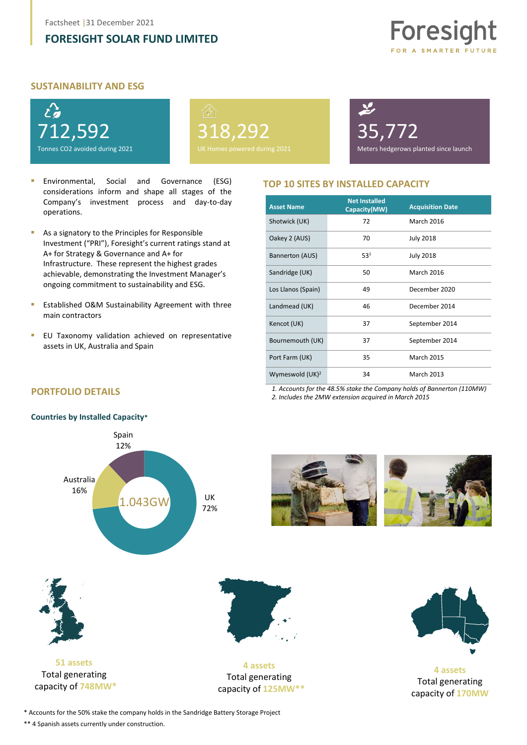## **[FORESIGHT SOLAR FUND LIMITED](#page-0-0)**



### **SUSTAINABILITY AND ESG**



318,292 Homes powered during 2021 35,772

Meters hedgerows planted since launch

- Environmental. Social and Governance (ESG) considerations inform and shape all stages of the Company's investment process and day-to-day operations.
- As a signatory to the Principles for Responsible Investment ("PRI"), Foresight's current ratings stand at A+ for Strategy & Governance and A+ for Infrastructure. These represent the highest grades achievable, demonstrating the Investment Manager's ongoing commitment to sustainability and ESG.
- Established O&M Sustainability Agreement with three main contractors
- **EU Taxonomy validation achieved on representative** assets in UK, Australia and Spain

### **TOP 10 SITES BY INSTALLED CAPACITY**

| <b>Asset Name</b>  | <b>Net Installed</b><br>Capacity(MW) | <b>Acquisition Date</b> |
|--------------------|--------------------------------------|-------------------------|
| Shotwick (UK)      | 72                                   | <b>March 2016</b>       |
| Oakey 2 (AUS)      | 70                                   | <b>July 2018</b>        |
| Bannerton (AUS)    | 53 <sup>1</sup>                      | <b>July 2018</b>        |
| Sandridge (UK)     | 50                                   | <b>March 2016</b>       |
| Los Llanos (Spain) | 49                                   | December 2020           |
| Landmead (UK)      | 46                                   | December 2014           |
| Kencot (UK)        | 37                                   | September 2014          |
| Bournemouth (UK)   | 37                                   | September 2014          |
| Port Farm (UK)     | 35                                   | <b>March 2015</b>       |
| Wymeswold $(UK)^2$ | 34                                   | <b>March 2013</b>       |

*1. Accounts for the 48.5% stake the Company holds of Bannerton (110MW) 2. Includes the 2MW extension acquired in March 2015*

## **PORTFOLIO DETAILS**

#### **Countries by Installed Capacity\***



**4 assets** Total generating capacity of **125MW\*\***





**4 assets**  Total generating capacity of **170MW**

\* Accounts for the 50% stake the company holds in the Sandridge Battery Storage Project

\*\* 4 Spanish assets currently under construction.

capacity of **748MW\***